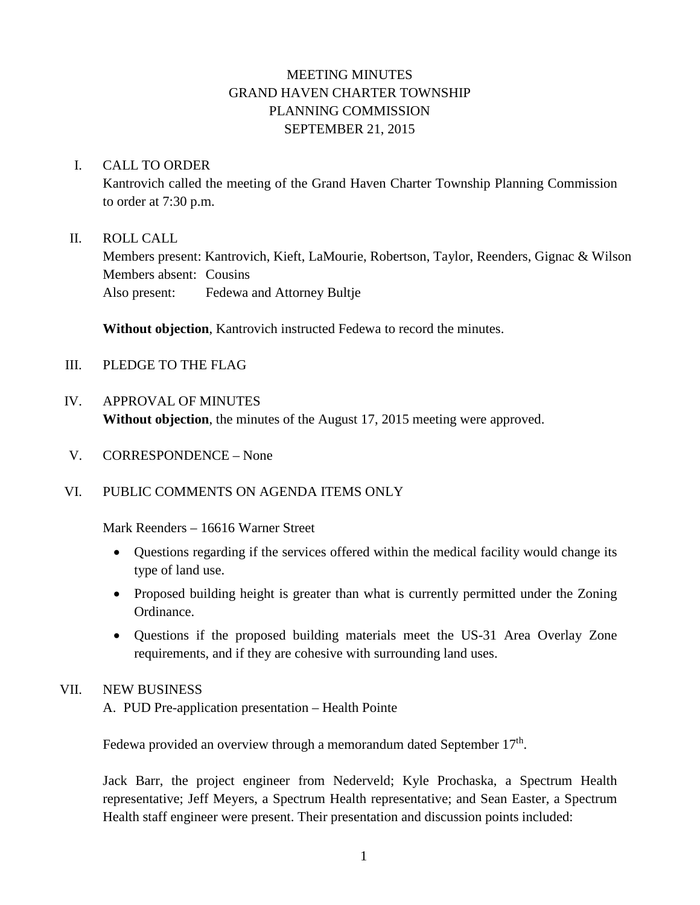# MEETING MINUTES GRAND HAVEN CHARTER TOWNSHIP PLANNING COMMISSION SEPTEMBER 21, 2015

### I. CALL TO ORDER

Kantrovich called the meeting of the Grand Haven Charter Township Planning Commission to order at 7:30 p.m.

### II. ROLL CALL

Members present: Kantrovich, Kieft, LaMourie, Robertson, Taylor, Reenders, Gignac & Wilson Members absent: Cousins Also present: Fedewa and Attorney Bultje

**Without objection**, Kantrovich instructed Fedewa to record the minutes.

- III. PLEDGE TO THE FLAG
- IV. APPROVAL OF MINUTES **Without objection**, the minutes of the August 17, 2015 meeting were approved.
- V. CORRESPONDENCE None

# VI. PUBLIC COMMENTS ON AGENDA ITEMS ONLY

Mark Reenders – 16616 Warner Street

- Questions regarding if the services offered within the medical facility would change its type of land use.
- Proposed building height is greater than what is currently permitted under the Zoning Ordinance.
- Questions if the proposed building materials meet the US-31 Area Overlay Zone requirements, and if they are cohesive with surrounding land uses.

# VII. NEW BUSINESS

A. PUD Pre-application presentation – Health Pointe

Fedewa provided an overview through a memorandum dated September  $17<sup>th</sup>$ .

Jack Barr, the project engineer from Nederveld; Kyle Prochaska, a Spectrum Health representative; Jeff Meyers, a Spectrum Health representative; and Sean Easter, a Spectrum Health staff engineer were present. Their presentation and discussion points included: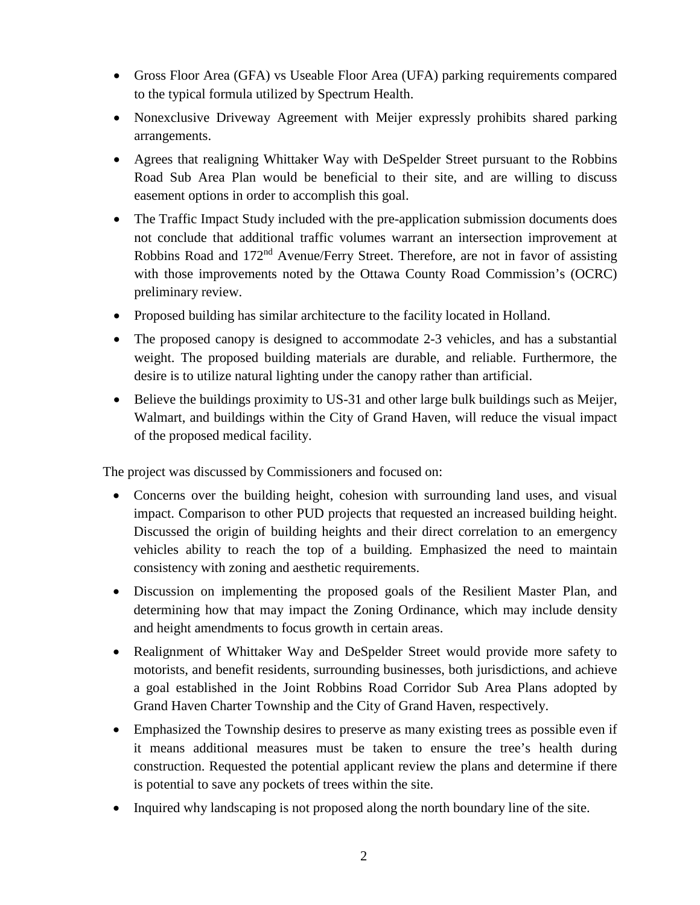- Gross Floor Area (GFA) vs Useable Floor Area (UFA) parking requirements compared to the typical formula utilized by Spectrum Health.
- Nonexclusive Driveway Agreement with Meijer expressly prohibits shared parking arrangements.
- Agrees that realigning Whittaker Way with DeSpelder Street pursuant to the Robbins Road Sub Area Plan would be beneficial to their site, and are willing to discuss easement options in order to accomplish this goal.
- The Traffic Impact Study included with the pre-application submission documents does not conclude that additional traffic volumes warrant an intersection improvement at Robbins Road and 172<sup>nd</sup> Avenue/Ferry Street. Therefore, are not in favor of assisting with those improvements noted by the Ottawa County Road Commission's (OCRC) preliminary review.
- Proposed building has similar architecture to the facility located in Holland.
- The proposed canopy is designed to accommodate 2-3 vehicles, and has a substantial weight. The proposed building materials are durable, and reliable. Furthermore, the desire is to utilize natural lighting under the canopy rather than artificial.
- Believe the buildings proximity to US-31 and other large bulk buildings such as Meijer, Walmart, and buildings within the City of Grand Haven, will reduce the visual impact of the proposed medical facility.

The project was discussed by Commissioners and focused on:

- Concerns over the building height, cohesion with surrounding land uses, and visual impact. Comparison to other PUD projects that requested an increased building height. Discussed the origin of building heights and their direct correlation to an emergency vehicles ability to reach the top of a building. Emphasized the need to maintain consistency with zoning and aesthetic requirements.
- Discussion on implementing the proposed goals of the Resilient Master Plan, and determining how that may impact the Zoning Ordinance, which may include density and height amendments to focus growth in certain areas.
- Realignment of Whittaker Way and DeSpelder Street would provide more safety to motorists, and benefit residents, surrounding businesses, both jurisdictions, and achieve a goal established in the Joint Robbins Road Corridor Sub Area Plans adopted by Grand Haven Charter Township and the City of Grand Haven, respectively.
- Emphasized the Township desires to preserve as many existing trees as possible even if it means additional measures must be taken to ensure the tree's health during construction. Requested the potential applicant review the plans and determine if there is potential to save any pockets of trees within the site.
- Inquired why landscaping is not proposed along the north boundary line of the site.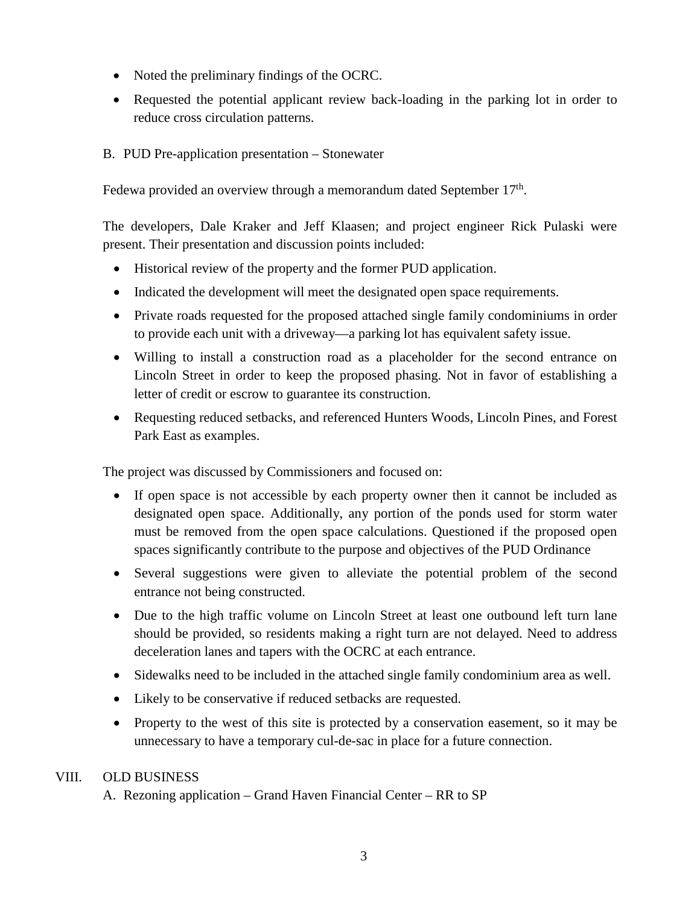- Noted the preliminary findings of the OCRC.
- Requested the potential applicant review back-loading in the parking lot in order to reduce cross circulation patterns.
- B. PUD Pre-application presentation Stonewater

Fedewa provided an overview through a memorandum dated September  $17<sup>th</sup>$ .

The developers, Dale Kraker and Jeff Klaasen; and project engineer Rick Pulaski were present. Their presentation and discussion points included:

- Historical review of the property and the former PUD application.
- Indicated the development will meet the designated open space requirements.
- Private roads requested for the proposed attached single family condominiums in order to provide each unit with a driveway—a parking lot has equivalent safety issue.
- Willing to install a construction road as a placeholder for the second entrance on Lincoln Street in order to keep the proposed phasing. Not in favor of establishing a letter of credit or escrow to guarantee its construction.
- Requesting reduced setbacks, and referenced Hunters Woods, Lincoln Pines, and Forest Park East as examples.

The project was discussed by Commissioners and focused on:

- If open space is not accessible by each property owner then it cannot be included as designated open space. Additionally, any portion of the ponds used for storm water must be removed from the open space calculations. Questioned if the proposed open spaces significantly contribute to the purpose and objectives of the PUD Ordinance
- Several suggestions were given to alleviate the potential problem of the second entrance not being constructed.
- Due to the high traffic volume on Lincoln Street at least one outbound left turn lane should be provided, so residents making a right turn are not delayed. Need to address deceleration lanes and tapers with the OCRC at each entrance.
- Sidewalks need to be included in the attached single family condominium area as well.
- Likely to be conservative if reduced setbacks are requested.
- Property to the west of this site is protected by a conservation easement, so it may be unnecessary to have a temporary cul-de-sac in place for a future connection.

# VIII. OLD BUSINESS

A. Rezoning application – Grand Haven Financial Center – RR to SP